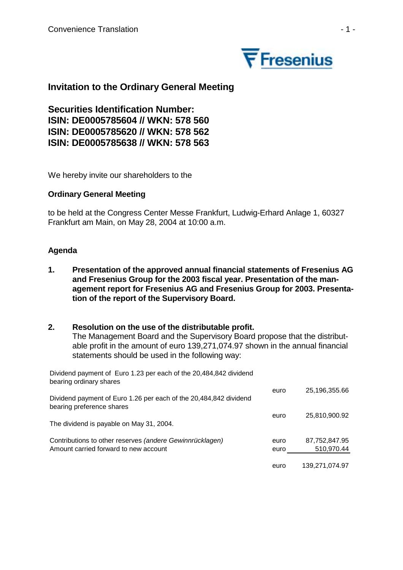

# **Invitation to the Ordinary General Meeting**

**Securities Identification Number: ISIN: DE0005785604 // WKN: 578 560 ISIN: DE0005785620 // WKN: 578 562 ISIN: DE0005785638 // WKN: 578 563** 

We hereby invite our shareholders to the

## **Ordinary General Meeting**

to be held at the Congress Center Messe Frankfurt, Ludwig-Erhard Anlage 1, 60327 Frankfurt am Main, on May 28, 2004 at 10:00 a.m.

## **Agenda**

**1. Presentation of the approved annual financial statements of Fresenius AG and Fresenius Group for the 2003 fiscal year. Presentation of the management report for Fresenius AG and Fresenius Group for 2003. Presentation of the report of the Supervisory Board.** 

## **2. Resolution on the use of the distributable profit.**

The Management Board and the Supervisory Board propose that the distributable profit in the amount of euro 139,271,074.97 shown in the annual financial statements should be used in the following way:

Dividend payment of Euro 1.23 per each of the 20,484,842 dividend bearing ordinary shares

|                                                                                                | euro | 25,196,355.66  |
|------------------------------------------------------------------------------------------------|------|----------------|
| Dividend payment of Euro 1.26 per each of the 20,484,842 dividend<br>bearing preference shares |      |                |
| The dividend is payable on May 31, 2004.                                                       | euro | 25,810,900.92  |
| Contributions to other reserves (andere Gewinnrücklagen)                                       | euro | 87,752,847.95  |
| Amount carried forward to new account                                                          | euro | 510,970.44     |
|                                                                                                | euro | 139,271,074.97 |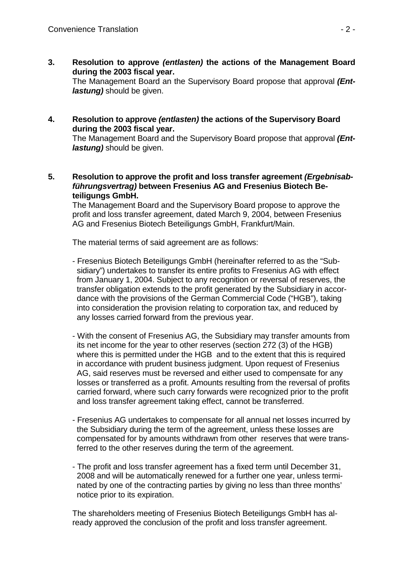**3. Resolution to approve** *(entlasten)* **the actions of the Management Board during the 2003 fiscal year.** 

The Management Board an the Supervisory Board propose that approval *(Entlastung)* should be given.

**4. Resolution to approve** *(entlasten)* **the actions of the Supervisory Board during the 2003 fiscal year.** 

The Management Board and the Supervisory Board propose that approval *(Entlastung)* should be given.

**5. Resolution to approve the profit and loss transfer agreement** *(Ergebnisabführungsvertrag)* **between Fresenius AG and Fresenius Biotech Beteiligungs GmbH.** 

The Management Board and the Supervisory Board propose to approve the profit and loss transfer agreement, dated March 9, 2004, between Fresenius AG and Fresenius Biotech Beteiligungs GmbH, Frankfurt/Main.

The material terms of said agreement are as follows:

- Fresenius Biotech Beteiligungs GmbH (hereinafter referred to as the "Subsidiary") undertakes to transfer its entire profits to Fresenius AG with effect from January 1, 2004. Subject to any recognition or reversal of reserves, the transfer obligation extends to the profit generated by the Subsidiary in accordance with the provisions of the German Commercial Code ("HGB"), taking into consideration the provision relating to corporation tax, and reduced by any losses carried forward from the previous year.
- With the consent of Fresenius AG, the Subsidiary may transfer amounts from its net income for the year to other reserves (section 272 (3) of the HGB) where this is permitted under the HGB and to the extent that this is required in accordance with prudent business judgment. Upon request of Fresenius AG, said reserves must be reversed and either used to compensate for any losses or transferred as a profit. Amounts resulting from the reversal of profits carried forward, where such carry forwards were recognized prior to the profit and loss transfer agreement taking effect, cannot be transferred.
- Fresenius AG undertakes to compensate for all annual net losses incurred by the Subsidiary during the term of the agreement, unless these losses are compensated for by amounts withdrawn from other reserves that were transferred to the other reserves during the term of the agreement.
- The profit and loss transfer agreement has a fixed term until December 31, 2008 and will be automatically renewed for a further one year, unless terminated by one of the contracting parties by giving no less than three months' notice prior to its expiration.

The shareholders meeting of Fresenius Biotech Beteiligungs GmbH has already approved the conclusion of the profit and loss transfer agreement.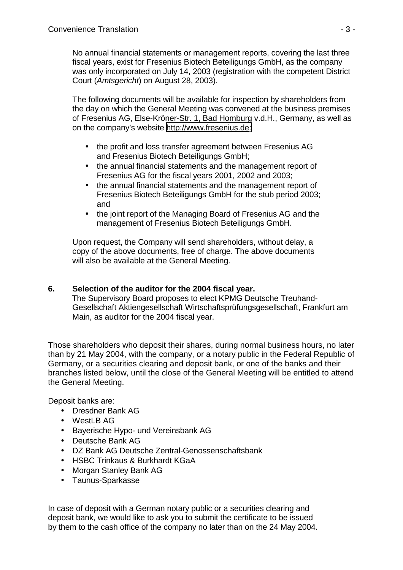No annual financial statements or management reports, covering the last three fiscal years, exist for Fresenius Biotech Beteiligungs GmbH, as the company was only incorporated on July 14, 2003 (registration with the competent District Court (*Amtsgericht*) on August 28, 2003).

The following documents will be available for inspection by shareholders from the day on which the General Meeting was convened at the business premises of Fresenius AG, Else-Kröner-Str. 1, Bad Homburg v.d.H., Germany, as well as on the company's website [http://www.fresenius.de:](http://www.fresenius.de/)

- the profit and loss transfer agreement between Fresenius AG and Fresenius Biotech Beteiligungs GmbH;
- the annual financial statements and the management report of Fresenius AG for the fiscal years 2001, 2002 and 2003;
- the annual financial statements and the management report of Fresenius Biotech Beteiligungs GmbH for the stub period 2003; and
- the joint report of the Managing Board of Fresenius AG and the management of Fresenius Biotech Beteiligungs GmbH.

Upon request, the Company will send shareholders, without delay, a copy of the above documents, free of charge. The above documents will also be available at the General Meeting.

# **6. Selection of the auditor for the 2004 fiscal year.**

The Supervisory Board proposes to elect KPMG Deutsche Treuhand-Gesellschaft Aktiengesellschaft Wirtschaftsprüfungsgesellschaft, Frankfurt am Main, as auditor for the 2004 fiscal year.

Those shareholders who deposit their shares, during normal business hours, no later than by 21 May 2004, with the company, or a notary public in the Federal Republic of Germany, or a securities clearing and deposit bank, or one of the banks and their branches listed below, until the close of the General Meeting will be entitled to attend the General Meeting.

Deposit banks are:

- Dresdner Bank AG
- WestLB AG
- Bayerische Hypo- und Vereinsbank AG
- Deutsche Bank AG
- DZ Bank AG Deutsche Zentral-Genossenschaftsbank
- HSBC Trinkaus & Burkhardt KGaA
- Morgan Stanley Bank AG
- Taunus-Sparkasse

In case of deposit with a German notary public or a securities clearing and deposit bank, we would like to ask you to submit the certificate to be issued by them to the cash office of the company no later than on the 24 May 2004.